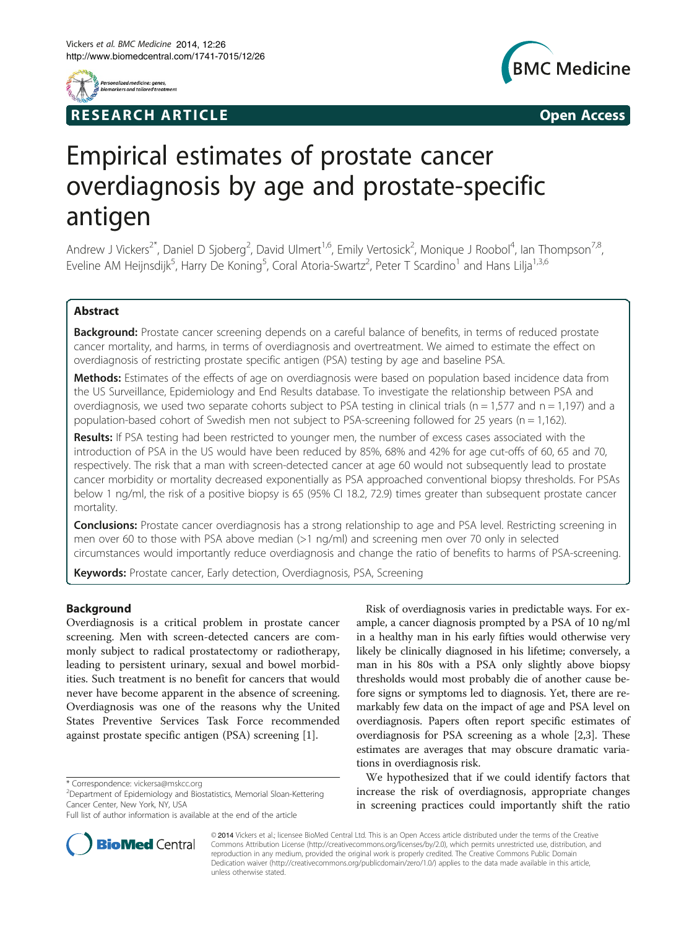

## **RESEARCH ARTICLE EXECUTE: CONSIDERING A RESEARCH ARTICLE**



# Empirical estimates of prostate cancer overdiagnosis by age and prostate-specific antigen

Andrew J Vickers<sup>2\*</sup>, Daniel D Sjoberg<sup>2</sup>, David Ulmert<sup>1,6</sup>, Emily Vertosick<sup>2</sup>, Monique J Roobol<sup>4</sup>, Ian Thompson<sup>7,8</sup>, Eveline AM Heijnsdijk<sup>5</sup>, Harry De Koning<sup>5</sup>, Coral Atoria-Swartz<sup>2</sup>, Peter T Scardino<sup>1</sup> and Hans Lilja<sup>1,3,6</sup>

## Abstract

**Background:** Prostate cancer screening depends on a careful balance of benefits, in terms of reduced prostate cancer mortality, and harms, in terms of overdiagnosis and overtreatment. We aimed to estimate the effect on overdiagnosis of restricting prostate specific antigen (PSA) testing by age and baseline PSA.

Methods: Estimates of the effects of age on overdiagnosis were based on population based incidence data from the US Surveillance, Epidemiology and End Results database. To investigate the relationship between PSA and overdiagnosis, we used two separate cohorts subject to PSA testing in clinical trials ( $n = 1,577$  and  $n = 1,197$ ) and a population-based cohort of Swedish men not subject to PSA-screening followed for 25 years (n = 1,162).

Results: If PSA testing had been restricted to younger men, the number of excess cases associated with the introduction of PSA in the US would have been reduced by 85%, 68% and 42% for age cut-offs of 60, 65 and 70, respectively. The risk that a man with screen-detected cancer at age 60 would not subsequently lead to prostate cancer morbidity or mortality decreased exponentially as PSA approached conventional biopsy thresholds. For PSAs below 1 ng/ml, the risk of a positive biopsy is 65 (95% CI 18.2, 72.9) times greater than subsequent prostate cancer mortality.

**Conclusions:** Prostate cancer overdiagnosis has a strong relationship to age and PSA level. Restricting screening in men over 60 to those with PSA above median (>1 ng/ml) and screening men over 70 only in selected circumstances would importantly reduce overdiagnosis and change the ratio of benefits to harms of PSA-screening.

Keywords: Prostate cancer, Early detection, Overdiagnosis, PSA, Screening

## Background

Overdiagnosis is a critical problem in prostate cancer screening. Men with screen-detected cancers are commonly subject to radical prostatectomy or radiotherapy, leading to persistent urinary, sexual and bowel morbidities. Such treatment is no benefit for cancers that would never have become apparent in the absence of screening. Overdiagnosis was one of the reasons why the United States Preventive Services Task Force recommended against prostate specific antigen (PSA) screening [[1\]](#page-6-0).



We hypothesized that if we could identify factors that increase the risk of overdiagnosis, appropriate changes in screening practices could importantly shift the ratio



© 2014 Vickers et al.; licensee BioMed Central Ltd. This is an Open Access article distributed under the terms of the Creative Commons Attribution License [\(http://creativecommons.org/licenses/by/2.0\)](http://creativecommons.org/licenses/by/2.0), which permits unrestricted use, distribution, and reproduction in any medium, provided the original work is properly credited. The Creative Commons Public Domain Dedication waiver [\(http://creativecommons.org/publicdomain/zero/1.0/](http://creativecommons.org/publicdomain/zero/1.0/)) applies to the data made available in this article, unless otherwise stated.

<sup>\*</sup> Correspondence: [vickersa@mskcc.org](mailto:vickersa@mskcc.org) <sup>2</sup>

<sup>&</sup>lt;sup>2</sup>Department of Epidemiology and Biostatistics, Memorial Sloan-Kettering Cancer Center, New York, NY, USA

Full list of author information is available at the end of the article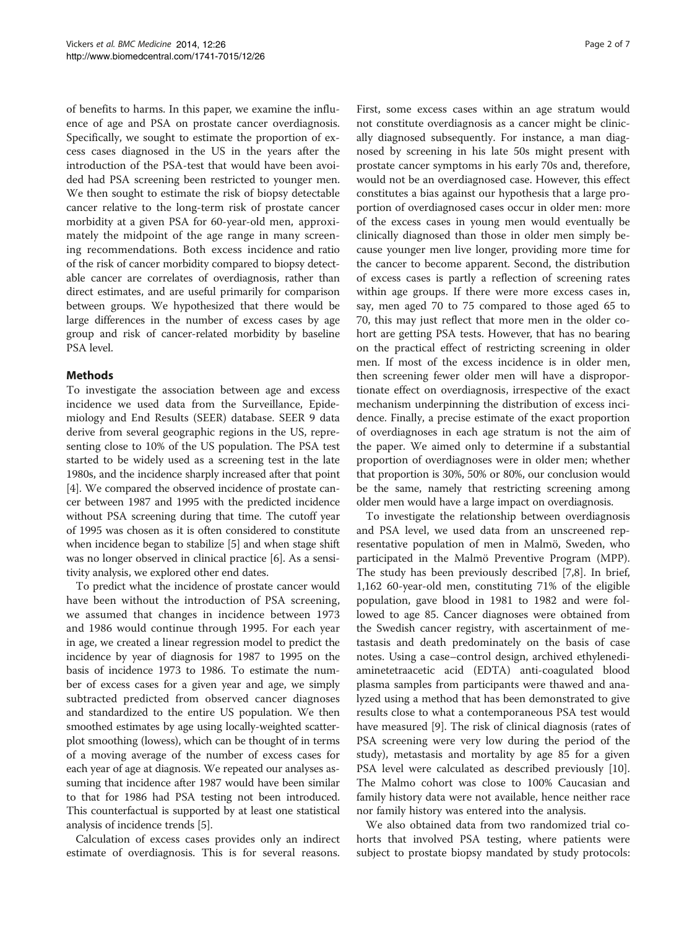of benefits to harms. In this paper, we examine the influence of age and PSA on prostate cancer overdiagnosis. Specifically, we sought to estimate the proportion of excess cases diagnosed in the US in the years after the introduction of the PSA-test that would have been avoided had PSA screening been restricted to younger men. We then sought to estimate the risk of biopsy detectable cancer relative to the long-term risk of prostate cancer morbidity at a given PSA for 60-year-old men, approximately the midpoint of the age range in many screening recommendations. Both excess incidence and ratio of the risk of cancer morbidity compared to biopsy detectable cancer are correlates of overdiagnosis, rather than direct estimates, and are useful primarily for comparison between groups. We hypothesized that there would be large differences in the number of excess cases by age group and risk of cancer-related morbidity by baseline PSA level.

## **Mathods**

To investigate the association between age and excess incidence we used data from the Surveillance, Epidemiology and End Results (SEER) database. SEER 9 data derive from several geographic regions in the US, representing close to 10% of the US population. The PSA test started to be widely used as a screening test in the late 1980s, and the incidence sharply increased after that point [[4\]](#page-6-0). We compared the observed incidence of prostate cancer between 1987 and 1995 with the predicted incidence without PSA screening during that time. The cutoff year of 1995 was chosen as it is often considered to constitute when incidence began to stabilize [\[5](#page-6-0)] and when stage shift was no longer observed in clinical practice [[6\]](#page-6-0). As a sensitivity analysis, we explored other end dates.

To predict what the incidence of prostate cancer would have been without the introduction of PSA screening, we assumed that changes in incidence between 1973 and 1986 would continue through 1995. For each year in age, we created a linear regression model to predict the incidence by year of diagnosis for 1987 to 1995 on the basis of incidence 1973 to 1986. To estimate the number of excess cases for a given year and age, we simply subtracted predicted from observed cancer diagnoses and standardized to the entire US population. We then smoothed estimates by age using locally-weighted scatterplot smoothing (lowess), which can be thought of in terms of a moving average of the number of excess cases for each year of age at diagnosis. We repeated our analyses assuming that incidence after 1987 would have been similar to that for 1986 had PSA testing not been introduced. This counterfactual is supported by at least one statistical analysis of incidence trends [[5\]](#page-6-0).

Calculation of excess cases provides only an indirect estimate of overdiagnosis. This is for several reasons.

First, some excess cases within an age stratum would not constitute overdiagnosis as a cancer might be clinically diagnosed subsequently. For instance, a man diagnosed by screening in his late 50s might present with prostate cancer symptoms in his early 70s and, therefore, would not be an overdiagnosed case. However, this effect constitutes a bias against our hypothesis that a large proportion of overdiagnosed cases occur in older men: more of the excess cases in young men would eventually be clinically diagnosed than those in older men simply because younger men live longer, providing more time for the cancer to become apparent. Second, the distribution of excess cases is partly a reflection of screening rates within age groups. If there were more excess cases in, say, men aged 70 to 75 compared to those aged 65 to 70, this may just reflect that more men in the older cohort are getting PSA tests. However, that has no bearing on the practical effect of restricting screening in older men. If most of the excess incidence is in older men, then screening fewer older men will have a disproportionate effect on overdiagnosis, irrespective of the exact mechanism underpinning the distribution of excess incidence. Finally, a precise estimate of the exact proportion of overdiagnoses in each age stratum is not the aim of the paper. We aimed only to determine if a substantial proportion of overdiagnoses were in older men; whether that proportion is 30%, 50% or 80%, our conclusion would be the same, namely that restricting screening among older men would have a large impact on overdiagnosis.

To investigate the relationship between overdiagnosis and PSA level, we used data from an unscreened representative population of men in Malmö, Sweden, who participated in the Malmö Preventive Program (MPP). The study has been previously described [[7,8\]](#page-6-0). In brief, 1,162 60-year-old men, constituting 71% of the eligible population, gave blood in 1981 to 1982 and were followed to age 85. Cancer diagnoses were obtained from the Swedish cancer registry, with ascertainment of metastasis and death predominately on the basis of case notes. Using a case–control design, archived ethylenediaminetetraacetic acid (EDTA) anti-coagulated blood plasma samples from participants were thawed and analyzed using a method that has been demonstrated to give results close to what a contemporaneous PSA test would have measured [[9\]](#page-6-0). The risk of clinical diagnosis (rates of PSA screening were very low during the period of the study), metastasis and mortality by age 85 for a given PSA level were calculated as described previously [\[10](#page-6-0)]. The Malmo cohort was close to 100% Caucasian and family history data were not available, hence neither race nor family history was entered into the analysis.

We also obtained data from two randomized trial cohorts that involved PSA testing, where patients were subject to prostate biopsy mandated by study protocols: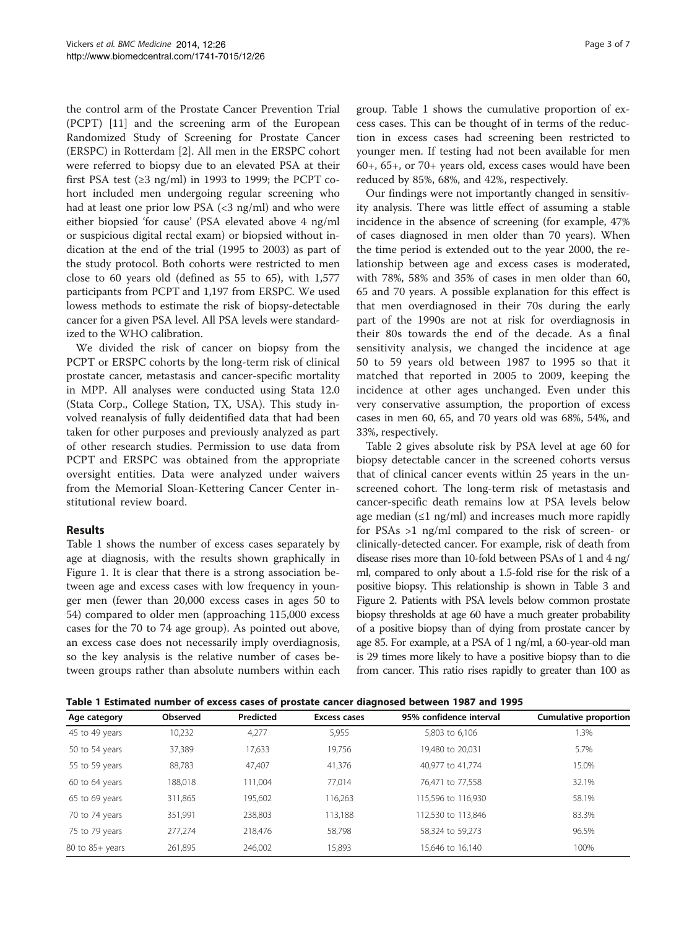the control arm of the Prostate Cancer Prevention Trial (PCPT) [\[11](#page-6-0)] and the screening arm of the European Randomized Study of Screening for Prostate Cancer (ERSPC) in Rotterdam [[2](#page-6-0)]. All men in the ERSPC cohort were referred to biopsy due to an elevated PSA at their first PSA test  $(≥3$  ng/ml) in 1993 to 1999; the PCPT cohort included men undergoing regular screening who had at least one prior low PSA  $\langle$  <3 ng/ml) and who were either biopsied 'for cause' (PSA elevated above 4 ng/ml or suspicious digital rectal exam) or biopsied without indication at the end of the trial (1995 to 2003) as part of the study protocol. Both cohorts were restricted to men close to 60 years old (defined as 55 to 65), with 1,577 participants from PCPT and 1,197 from ERSPC. We used lowess methods to estimate the risk of biopsy-detectable cancer for a given PSA level. All PSA levels were standardized to the WHO calibration.

We divided the risk of cancer on biopsy from the PCPT or ERSPC cohorts by the long-term risk of clinical prostate cancer, metastasis and cancer-specific mortality in MPP. All analyses were conducted using Stata 12.0 (Stata Corp., College Station, TX, USA). This study involved reanalysis of fully deidentified data that had been taken for other purposes and previously analyzed as part of other research studies. Permission to use data from PCPT and ERSPC was obtained from the appropriate oversight entities. Data were analyzed under waivers from the Memorial Sloan-Kettering Cancer Center institutional review board.

## Results

Table 1 shows the number of excess cases separately by age at diagnosis, with the results shown graphically in Figure [1.](#page-3-0) It is clear that there is a strong association between age and excess cases with low frequency in younger men (fewer than 20,000 excess cases in ages 50 to 54) compared to older men (approaching 115,000 excess cases for the 70 to 74 age group). As pointed out above, an excess case does not necessarily imply overdiagnosis, so the key analysis is the relative number of cases between groups rather than absolute numbers within each

group. Table 1 shows the cumulative proportion of excess cases. This can be thought of in terms of the reduction in excess cases had screening been restricted to younger men. If testing had not been available for men 60+, 65+, or 70+ years old, excess cases would have been reduced by 85%, 68%, and 42%, respectively.

Our findings were not importantly changed in sensitivity analysis. There was little effect of assuming a stable incidence in the absence of screening (for example, 47% of cases diagnosed in men older than 70 years). When the time period is extended out to the year 2000, the relationship between age and excess cases is moderated, with 78%, 58% and 35% of cases in men older than 60, 65 and 70 years. A possible explanation for this effect is that men overdiagnosed in their 70s during the early part of the 1990s are not at risk for overdiagnosis in their 80s towards the end of the decade. As a final sensitivity analysis, we changed the incidence at age 50 to 59 years old between 1987 to 1995 so that it matched that reported in 2005 to 2009, keeping the incidence at other ages unchanged. Even under this very conservative assumption, the proportion of excess cases in men 60, 65, and 70 years old was 68%, 54%, and 33%, respectively.

Table [2](#page-3-0) gives absolute risk by PSA level at age 60 for biopsy detectable cancer in the screened cohorts versus that of clinical cancer events within 25 years in the unscreened cohort. The long-term risk of metastasis and cancer-specific death remains low at PSA levels below age median  $(\leq 1 \text{ ng/ml})$  and increases much more rapidly for PSAs >1 ng/ml compared to the risk of screen- or clinically-detected cancer. For example, risk of death from disease rises more than 10-fold between PSAs of 1 and 4 ng/ ml, compared to only about a 1.5-fold rise for the risk of a positive biopsy. This relationship is shown in Table [3](#page-4-0) and Figure [2](#page-4-0). Patients with PSA levels below common prostate biopsy thresholds at age 60 have a much greater probability of a positive biopsy than of dying from prostate cancer by age 85. For example, at a PSA of 1 ng/ml, a 60-year-old man is 29 times more likely to have a positive biopsy than to die from cancer. This ratio rises rapidly to greater than 100 as

Table 1 Estimated number of excess cases of prostate cancer diagnosed between 1987 and 1995

| Age category        | Observed | Predicted | Excess cases | 95% confidence interval | <b>Cumulative proportion</b> |
|---------------------|----------|-----------|--------------|-------------------------|------------------------------|
| 45 to 49 years      | 10,232   | 4,277     | 5,955        | 5,803 to 6,106          | 1.3%                         |
| 50 to 54 years      | 37,389   | 17.633    | 19,756       | 19,480 to 20.031        | 5.7%                         |
| 55 to 59 years      | 88,783   | 47,407    | 41,376       | 40,977 to 41,774        | 15.0%                        |
| 60 to 64 years      | 188,018  | 111.004   | 77,014       | 76.471 to 77.558        | 32.1%                        |
| 65 to 69 years      | 311,865  | 195,602   | 116,263      | 115,596 to 116,930      | 58.1%                        |
| 70 to 74 years      | 351.991  | 238.803   | 113,188      | 112,530 to 113,846      | 83.3%                        |
| 75 to 79 years      | 277.274  | 218.476   | 58,798       | 58.324 to 59.273        | 96.5%                        |
| $80$ to $85+$ years | 261,895  | 246,002   | 15,893       | 15,646 to 16,140        | 100%                         |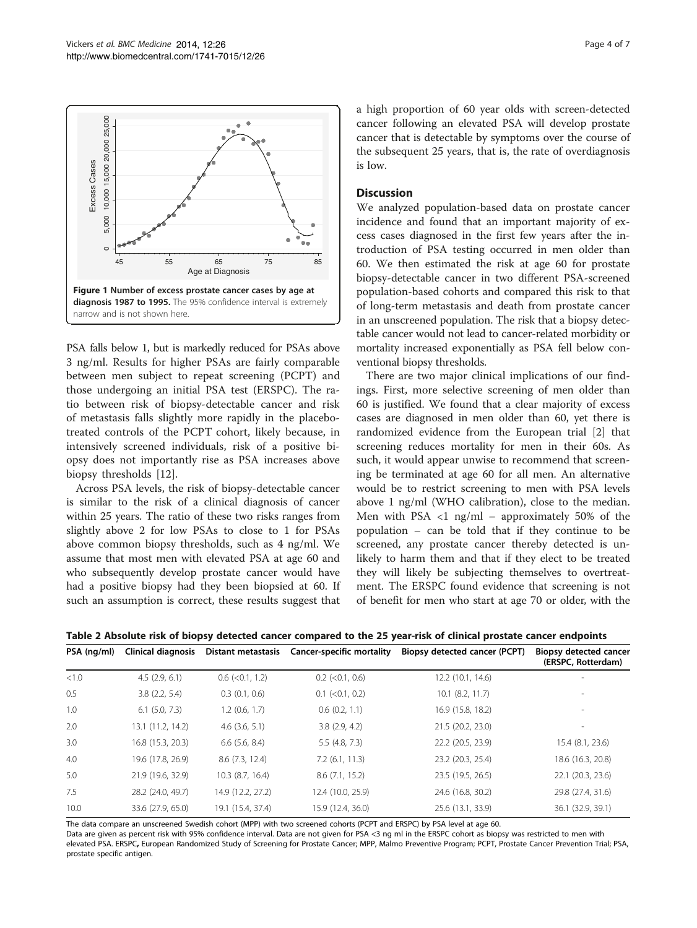<span id="page-3-0"></span>

PSA falls below 1, but is markedly reduced for PSAs above 3 ng/ml. Results for higher PSAs are fairly comparable between men subject to repeat screening (PCPT) and those undergoing an initial PSA test (ERSPC). The ratio between risk of biopsy-detectable cancer and risk of metastasis falls slightly more rapidly in the placebotreated controls of the PCPT cohort, likely because, in intensively screened individuals, risk of a positive biopsy does not importantly rise as PSA increases above biopsy thresholds [[12\]](#page-6-0).

Across PSA levels, the risk of biopsy-detectable cancer is similar to the risk of a clinical diagnosis of cancer within 25 years. The ratio of these two risks ranges from slightly above 2 for low PSAs to close to 1 for PSAs above common biopsy thresholds, such as 4 ng/ml. We assume that most men with elevated PSA at age 60 and who subsequently develop prostate cancer would have had a positive biopsy had they been biopsied at 60. If such an assumption is correct, these results suggest that a high proportion of 60 year olds with screen-detected cancer following an elevated PSA will develop prostate cancer that is detectable by symptoms over the course of the subsequent 25 years, that is, the rate of overdiagnosis is low.

## **Discussion**

We analyzed population-based data on prostate cancer incidence and found that an important majority of excess cases diagnosed in the first few years after the introduction of PSA testing occurred in men older than 60. We then estimated the risk at age 60 for prostate biopsy-detectable cancer in two different PSA-screened population-based cohorts and compared this risk to that of long-term metastasis and death from prostate cancer in an unscreened population. The risk that a biopsy detectable cancer would not lead to cancer-related morbidity or mortality increased exponentially as PSA fell below conventional biopsy thresholds.

There are two major clinical implications of our findings. First, more selective screening of men older than 60 is justified. We found that a clear majority of excess cases are diagnosed in men older than 60, yet there is randomized evidence from the European trial [\[2](#page-6-0)] that screening reduces mortality for men in their 60s. As such, it would appear unwise to recommend that screening be terminated at age 60 for all men. An alternative would be to restrict screening to men with PSA levels above 1 ng/ml (WHO calibration), close to the median. Men with PSA  $\langle 1 \rangle$  ng/ml – approximately 50% of the population – can be told that if they continue to be screened, any prostate cancer thereby detected is unlikely to harm them and that if they elect to be treated they will likely be subjecting themselves to overtreatment. The ERSPC found evidence that screening is not of benefit for men who start at age 70 or older, with the

Table 2 Absolute risk of biopsy detected cancer compared to the 25 year-risk of clinical prostate cancer endpoints

| PSA (ng/ml) | Clinical diagnosis |                       | Distant metastasis Cancer-specific mortality | Biopsy detected cancer (PCPT) | <b>Biopsy detected cancer</b><br>(ERSPC, Rotterdam) |
|-------------|--------------------|-----------------------|----------------------------------------------|-------------------------------|-----------------------------------------------------|
| < 1.0       | 4.5(2.9, 6.1)      | $0.6$ (< $0.1$ , 1.2) | $0.2$ (< $0.1$ , 0.6)                        | 12.2 (10.1, 14.6)             |                                                     |
| 0.5         | 3.8(2.2, 5.4)      | 0.3(0.1, 0.6)         | $0.1$ (< $0.1$ , 0.2)                        | $10.1$ $(8.2, 11.7)$          |                                                     |
| 1.0         | $6.1$ $(5.0, 7.3)$ | $1.2$ (0.6, 1.7)      | $0.6$ $(0.2, 1.1)$                           | 16.9 (15.8, 18.2)             |                                                     |
| 2.0         | 13.1 (11.2, 14.2)  | $4.6$ $(3.6, 5.1)$    | 3.8(2.9, 4.2)                                | 21.5 (20.2, 23.0)             | $\overline{\phantom{a}}$                            |
| 3.0         | 16.8 (15.3, 20.3)  | $6.6$ $(5.6, 8.4)$    | 5.5(4.8, 7.3)                                | 22.2 (20.5, 23.9)             | 15.4 (8.1, 23.6)                                    |
| 4.0         | 19.6 (17.8, 26.9)  | 8.6(7.3, 12.4)        | $7.2$ (6.1, 11.3)                            | 23.2 (20.3, 25.4)             | 18.6 (16.3, 20.8)                                   |
| 5.0         | 21.9 (19.6, 32.9)  | 10.3 (8.7, 16.4)      | 8.6(7.1, 15.2)                               | 23.5 (19.5, 26.5)             | 22.1 (20.3, 23.6)                                   |
| 7.5         | 28.2 (24.0, 49.7)  | 14.9 (12.2, 27.2)     | 12.4 (10.0, 25.9)                            | 24.6 (16.8, 30.2)             | 29.8 (27.4, 31.6)                                   |
| 10.0        | 33.6 (27.9, 65.0)  | 19.1 (15.4, 37.4)     | 15.9 (12.4, 36.0)                            | 25.6 (13.1, 33.9)             | 36.1 (32.9, 39.1)                                   |

The data compare an unscreened Swedish cohort (MPP) with two screened cohorts (PCPT and ERSPC) by PSA level at age 60.

Data are given as percent risk with 95% confidence interval. Data are not given for PSA <3 ng ml in the ERSPC cohort as biopsy was restricted to men with elevated PSA. ERSPC, European Randomized Study of Screening for Prostate Cancer; MPP, Malmo Preventive Program; PCPT, Prostate Cancer Prevention Trial; PSA, prostate specific antigen.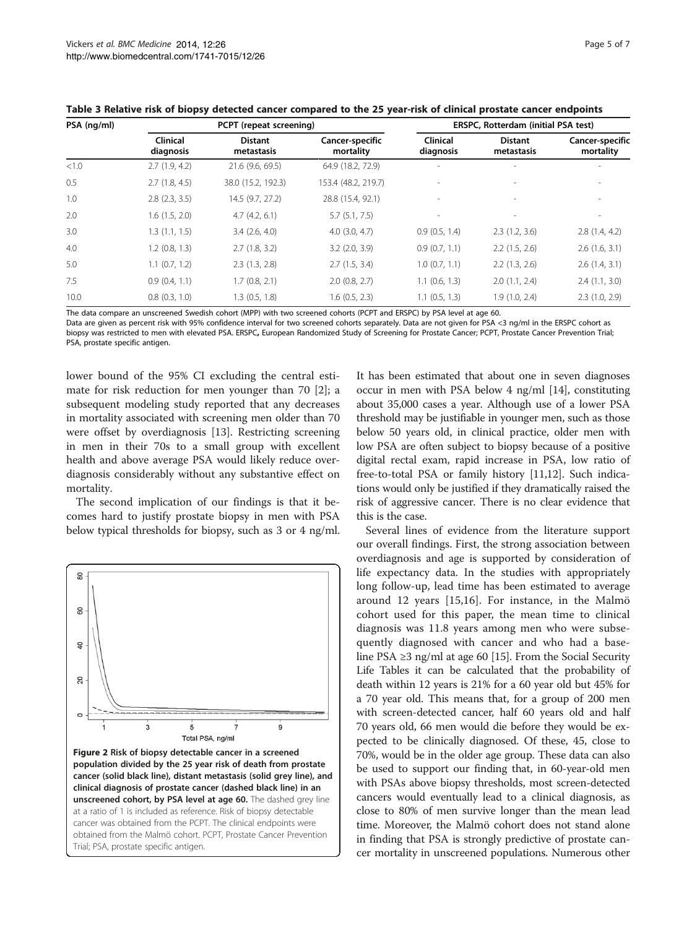| PSA (ng/ml) | PCPT (repeat screening)      |                              |                              | <b>ERSPC, Rotterdam (initial PSA test)</b> |                              |                              |
|-------------|------------------------------|------------------------------|------------------------------|--------------------------------------------|------------------------------|------------------------------|
|             | <b>Clinical</b><br>diagnosis | <b>Distant</b><br>metastasis | Cancer-specific<br>mortality | Clinical<br>diagnosis                      | <b>Distant</b><br>metastasis | Cancer-specific<br>mortality |
| < 1.0       | 2.7(1.9, 4.2)                | 21.6 (9.6, 69.5)             | 64.9 (18.2, 72.9)            |                                            |                              |                              |
| 0.5         | 2.7(1.8, 4.5)                | 38.0 (15.2, 192.3)           | 153.4 (48.2, 219.7)          |                                            |                              | $\overline{\phantom{a}}$     |
| 1.0         | $2.8$ $(2.3, 3.5)$           | 14.5 (9.7, 27.2)             | 28.8 (15.4, 92.1)            | $\sim$                                     |                              | $\overline{\phantom{a}}$     |
| 2.0         | 1.6(1.5, 2.0)                | 4.7(4.2, 6.1)                | 5.7(5.1, 7.5)                |                                            |                              | $\overline{\phantom{a}}$     |
| 3.0         | 1.3(1.1, 1.5)                | $3.4$ $(2.6, 4.0)$           | $4.0$ $(3.0, 4.7)$           | 0.9(0.5, 1.4)                              | 2.3(1.2, 3.6)                | 2.8(1.4, 4.2)                |
| 4.0         | $1.2$ (0.8, 1.3)             | 2.7(1.8, 3.2)                | $3.2$ (2.0, 3.9)             | 0.9(0.7, 1.1)                              | 2.2(1.5, 2.6)                | 2.6(1.6, 3.1)                |
| 5.0         | $1.1$ $(0.7, 1.2)$           | 2.3(1.3, 2.8)                | 2.7(1.5, 3.4)                | $1.0$ (0.7, 1.1)                           | 2.2(1.3, 2.6)                | 2.6(1.4, 3.1)                |
| 7.5         | 0.9(0.4, 1.1)                | 1.7(0.8, 2.1)                | $2.0$ (0.8, 2.7)             | $1.1$ (0.6, 1.3)                           | 2.0(1.1, 2.4)                | 2.4(1.1, 3.0)                |
| 10.0        | $0.8$ $(0.3, 1.0)$           | 1.3(0.5, 1.8)                | $1.6$ (0.5, 2.3)             | $1.1$ (0.5, 1.3)                           | 1.9(1.0, 2.4)                | 2.3(1.0, 2.9)                |

<span id="page-4-0"></span>Table 3 Relative risk of biopsy detected cancer compared to the 25 year-risk of clinical prostate cancer endpoints

The data compare an unscreened Swedish cohort (MPP) with two screened cohorts (PCPT and ERSPC) by PSA level at age 60.

Data are given as percent risk with 95% confidence interval for two screened cohorts separately. Data are not given for PSA <3 ng/ml in the ERSPC cohort as biopsy was restricted to men with elevated PSA. ERSPC, European Randomized Study of Screening for Prostate Cancer; PCPT, Prostate Cancer Prevention Trial; PSA, prostate specific antigen.

lower bound of the 95% CI excluding the central estimate for risk reduction for men younger than 70 [[2\]](#page-6-0); a subsequent modeling study reported that any decreases in mortality associated with screening men older than 70 were offset by overdiagnosis [[13\]](#page-6-0). Restricting screening in men in their 70s to a small group with excellent health and above average PSA would likely reduce overdiagnosis considerably without any substantive effect on mortality.

The second implication of our findings is that it becomes hard to justify prostate biopsy in men with PSA below typical thresholds for biopsy, such as 3 or 4 ng/ml.



It has been estimated that about one in seven diagnoses occur in men with PSA below 4 ng/ml [\[14](#page-6-0)], constituting about 35,000 cases a year. Although use of a lower PSA threshold may be justifiable in younger men, such as those below 50 years old, in clinical practice, older men with low PSA are often subject to biopsy because of a positive digital rectal exam, rapid increase in PSA, low ratio of free-to-total PSA or family history [[11,12](#page-6-0)]. Such indications would only be justified if they dramatically raised the risk of aggressive cancer. There is no clear evidence that this is the case.

Several lines of evidence from the literature support our overall findings. First, the strong association between overdiagnosis and age is supported by consideration of life expectancy data. In the studies with appropriately long follow-up, lead time has been estimated to average around 12 years [[15,16](#page-6-0)]. For instance, in the Malmö cohort used for this paper, the mean time to clinical diagnosis was 11.8 years among men who were subsequently diagnosed with cancer and who had a baseline PSA ≥3 ng/ml at age 60 [[15](#page-6-0)]. From the Social Security Life Tables it can be calculated that the probability of death within 12 years is 21% for a 60 year old but 45% for a 70 year old. This means that, for a group of 200 men with screen-detected cancer, half 60 years old and half 70 years old, 66 men would die before they would be expected to be clinically diagnosed. Of these, 45, close to 70%, would be in the older age group. These data can also be used to support our finding that, in 60-year-old men with PSAs above biopsy thresholds, most screen-detected cancers would eventually lead to a clinical diagnosis, as close to 80% of men survive longer than the mean lead time. Moreover, the Malmö cohort does not stand alone in finding that PSA is strongly predictive of prostate cancer mortality in unscreened populations. Numerous other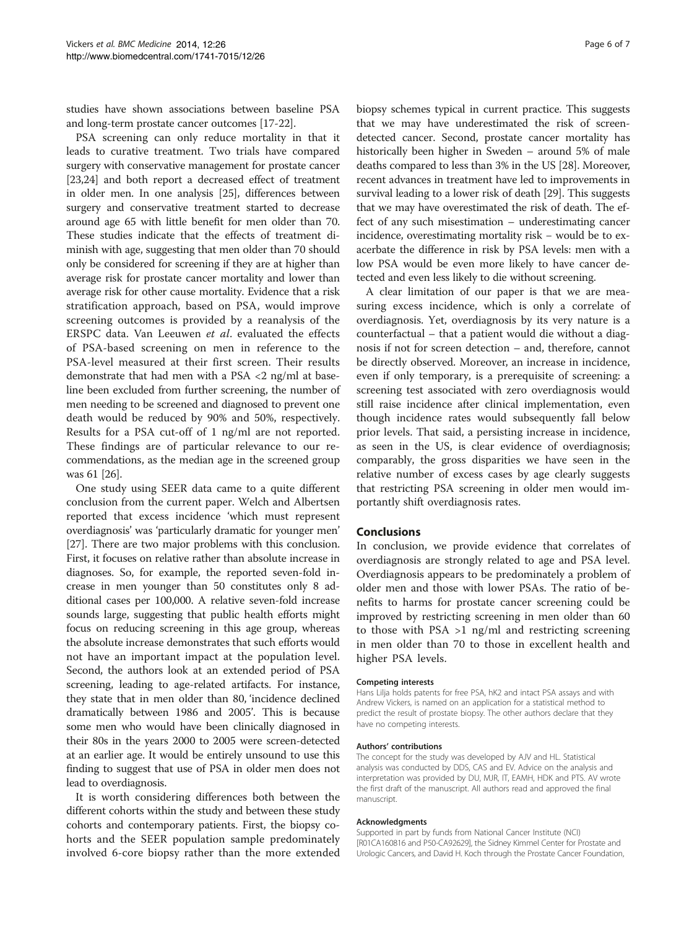studies have shown associations between baseline PSA and long-term prostate cancer outcomes [\[17-22\]](#page-6-0).

PSA screening can only reduce mortality in that it leads to curative treatment. Two trials have compared surgery with conservative management for prostate cancer [[23,24](#page-6-0)] and both report a decreased effect of treatment in older men. In one analysis [\[25\]](#page-6-0), differences between surgery and conservative treatment started to decrease around age 65 with little benefit for men older than 70. These studies indicate that the effects of treatment diminish with age, suggesting that men older than 70 should only be considered for screening if they are at higher than average risk for prostate cancer mortality and lower than average risk for other cause mortality. Evidence that a risk stratification approach, based on PSA, would improve screening outcomes is provided by a reanalysis of the ERSPC data. Van Leeuwen et al. evaluated the effects of PSA-based screening on men in reference to the PSA-level measured at their first screen. Their results demonstrate that had men with a PSA <2 ng/ml at baseline been excluded from further screening, the number of men needing to be screened and diagnosed to prevent one death would be reduced by 90% and 50%, respectively. Results for a PSA cut-off of 1 ng/ml are not reported. These findings are of particular relevance to our recommendations, as the median age in the screened group was 61 [[26](#page-6-0)].

One study using SEER data came to a quite different conclusion from the current paper. Welch and Albertsen reported that excess incidence 'which must represent overdiagnosis' was 'particularly dramatic for younger men' [[27](#page-6-0)]. There are two major problems with this conclusion. First, it focuses on relative rather than absolute increase in diagnoses. So, for example, the reported seven-fold increase in men younger than 50 constitutes only 8 additional cases per 100,000. A relative seven-fold increase sounds large, suggesting that public health efforts might focus on reducing screening in this age group, whereas the absolute increase demonstrates that such efforts would not have an important impact at the population level. Second, the authors look at an extended period of PSA screening, leading to age-related artifacts. For instance, they state that in men older than 80, 'incidence declined dramatically between 1986 and 2005'. This is because some men who would have been clinically diagnosed in their 80s in the years 2000 to 2005 were screen-detected at an earlier age. It would be entirely unsound to use this finding to suggest that use of PSA in older men does not lead to overdiagnosis.

It is worth considering differences both between the different cohorts within the study and between these study cohorts and contemporary patients. First, the biopsy cohorts and the SEER population sample predominately involved 6-core biopsy rather than the more extended

biopsy schemes typical in current practice. This suggests that we may have underestimated the risk of screendetected cancer. Second, prostate cancer mortality has historically been higher in Sweden – around 5% of male deaths compared to less than 3% in the US [[28](#page-6-0)]. Moreover, recent advances in treatment have led to improvements in survival leading to a lower risk of death [[29](#page-6-0)]. This suggests that we may have overestimated the risk of death. The effect of any such misestimation – underestimating cancer incidence, overestimating mortality risk − would be to exacerbate the difference in risk by PSA levels: men with a low PSA would be even more likely to have cancer detected and even less likely to die without screening.

A clear limitation of our paper is that we are measuring excess incidence, which is only a correlate of overdiagnosis. Yet, overdiagnosis by its very nature is a counterfactual – that a patient would die without a diagnosis if not for screen detection – and, therefore, cannot be directly observed. Moreover, an increase in incidence, even if only temporary, is a prerequisite of screening: a screening test associated with zero overdiagnosis would still raise incidence after clinical implementation, even though incidence rates would subsequently fall below prior levels. That said, a persisting increase in incidence, as seen in the US, is clear evidence of overdiagnosis; comparably, the gross disparities we have seen in the relative number of excess cases by age clearly suggests that restricting PSA screening in older men would importantly shift overdiagnosis rates.

#### Conclusions

In conclusion, we provide evidence that correlates of overdiagnosis are strongly related to age and PSA level. Overdiagnosis appears to be predominately a problem of older men and those with lower PSAs. The ratio of benefits to harms for prostate cancer screening could be improved by restricting screening in men older than 60 to those with PSA >1 ng/ml and restricting screening in men older than 70 to those in excellent health and higher PSA levels.

#### Competing interests

Hans Lilja holds patents for free PSA, hK2 and intact PSA assays and with Andrew Vickers, is named on an application for a statistical method to predict the result of prostate biopsy. The other authors declare that they have no competing interests.

#### Authors' contributions

The concept for the study was developed by AJV and HL. Statistical analysis was conducted by DDS, CAS and EV. Advice on the analysis and interpretation was provided by DU, MJR, IT, EAMH, HDK and PTS. AV wrote the first draft of the manuscript. All authors read and approved the final manuscript.

#### Acknowledgments

Supported in part by funds from National Cancer Institute (NCI) [R01CA160816 and P50-CA92629], the Sidney Kimmel Center for Prostate and Urologic Cancers, and David H. Koch through the Prostate Cancer Foundation,